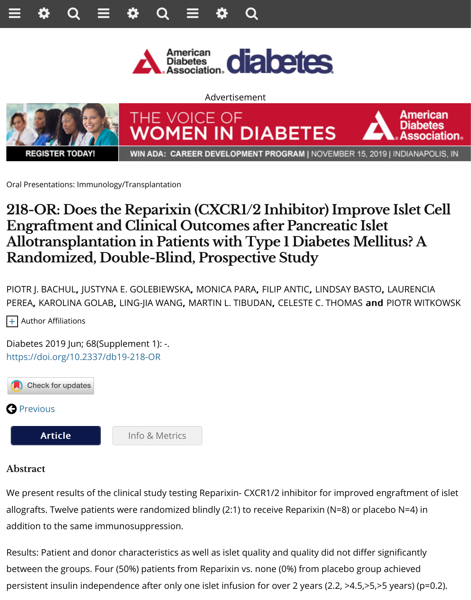





WIN ADA: CAREER DEVELOPMENT PROGRAM | NOVEMBER 15, 2019 |

Oral Presentations: Immunology/Transplantation

## **218-OR: Does the Reparixin (CXCR1/2 Inhibitor) Improve Engrafment and Clinical Outcomes afer Pancreatic Islet Allotransplantation in Patients with Type 1 Diabetes Mellit Randomized, Double-Blind, Prospective Study**

PIOTR J. BACHUL, JUSTYNA E. GOLEBIEWSKA, MONICA PARA, FILIP ANTIC, LINDSAY BASTO, L PEREA, KAROLINA GOLAB, LING-JIA WANG, MARTIN L. TIBUDAN, CELESTE C. THOMAS and F

+ Author Affiliations

Diabetes 2019 Jun; 68(Supplement 1): -. https://doi.org/10.2337/db19-218-OR



## **Abstract**

We present results of the clinical study testing Reparixin- CXCR1/2 inhibitor for improved eng [allografts. Tw](http://diabetes.diabetesjournals.org/content/68/6/1359)elve patients were randomized blindly (2:1) to receive Reparixin (N=8) or placeb [addition to the same im](http://diabetes.diabetesjournals.org/content/68/Supplement_1/218-OR)[munosuppression.](http://diabetes.diabetesjournals.org/content/68/Supplement_1/218-OR.article-info)

Results: Patient and donor characteristics as well as islet quality and quality did not differ significantly between the groups. Four (50%) patients from Reparixin vs. none (0%) from placebo group a persistent insulin independence after only one islet infusion for over 2 years (2.2, >4.5,>5,>5  $\frac{1}{2}$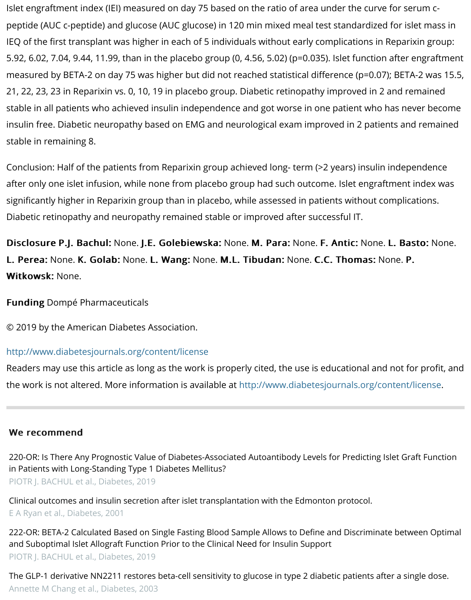21, 22, 23, 23 in Reparixin vs. 0, 10, 19 in placebo group. Diabetic retinopathy improved in 2 and remained stable in all patients who achieved insulin independence and got worse in one patient who h insulin free. Diabetic neuropathy based on EMG and neurological exam improved in 2 patien stable in remaining 8.

Conclusion: Half of the patients from Reparixin group achieved long- term (>2 years) insulin i after only one islet infusion, while none from placebo group had such outcome. Islet engrafti significantly higher in Reparixin group than in placebo, while assessed in patients without con Diabetic retinopathy and neuropathy remained stable or improved after successful IT.

Disclosure P.J. Bachul: None. J.E. Golebiewska: None. M. Para: None. F. Antic: None. I L. Perea: None. K. Golab: None. L. Wang: None. M.L. Tibudan: None. C.C. Thomas: No Witkowsk: None.

**Funding Dompé Pharmaceuticals** 

© 2019 by the American Diabetes Association.

## http://www.diabetesjournals.org/content/license

Readers may use this article as long as the work is properly cited, the use is educational and the work is not altered. More information is available at http://www.diabetesjournals.org/cor

## We recommend

220-OR: Is There Any Prognostic Value of Diabetes-Associated Autoantibody Levels for Predicting Is in Patients with Long-Standing Type 1 Diabetes Mellitus? PIOTR J. BACHUL et al., Diabetes, 2019

Clinical outcomes and insulin secretion after islet transplantation with the Edmonton protocol. E A Ryan et al., Diabetes, 2001

222-OR: BETA-2 Calculated Based on Single Fasting Blood Sample Allows to Define and Discriminate [and Suboptimal Islet Allograft Function Prior to the Clinical Need for Insulin Support](http://diabetes.diabetesjournals.org/content/68/Supplement_1/220-OR?utm_source=TrendMD&utm_medium=cpc&utm_campaign=Diabetes_TrendMD_0) PIOTR J. BACHUL et al., Diabetes, 2019

The GLP-1 derivative NN2211 restores beta-cell sensitivity to glucose in type 2 diabetic patients afte [Annette M Chang et al.,](http://diabetes.diabetesjournals.org/cgi/pmidlookup?view=long&pmid=11289033&utm_source=TrendMD&utm_medium=cpc&utm_campaign=Diabetes_TrendMD_0) Diabetes, 2003